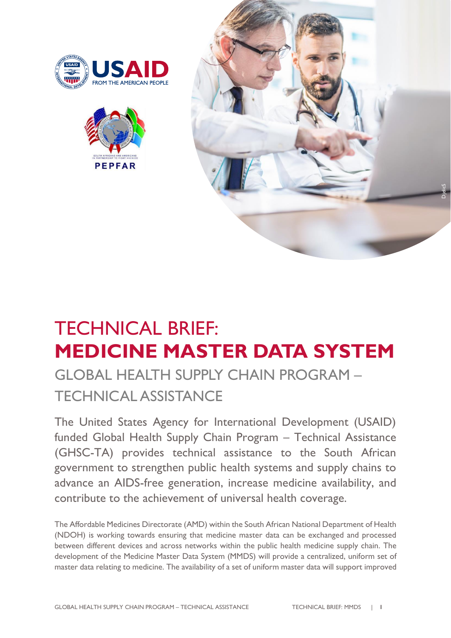





# TECHNICAL BRIEF: **MEDICINE MASTER DATA SYSTEM**

# GLOBAL HEALTH SUPPLY CHAIN PROGRAM – TECHNICAL ASSISTANCE

The United States Agency for International Development (USAID) funded Global Health Supply Chain Program – Technical Assistance (GHSC-TA) provides technical assistance to the South African government to strengthen public health systems and supply chains to advance an AIDS-free generation, increase medicine availability, and contribute to the achievement of universal health coverage.

The Affordable Medicines Directorate (AMD) within the South African National Department of Health (NDOH) is working towards ensuring that medicine master data can be exchanged and processed between different devices and across networks within the public health medicine supply chain. The development of the Medicine Master Data System (MMDS) will provide a centralized, uniform set of master data relating to medicine. The availability of a set of uniform master data will support improved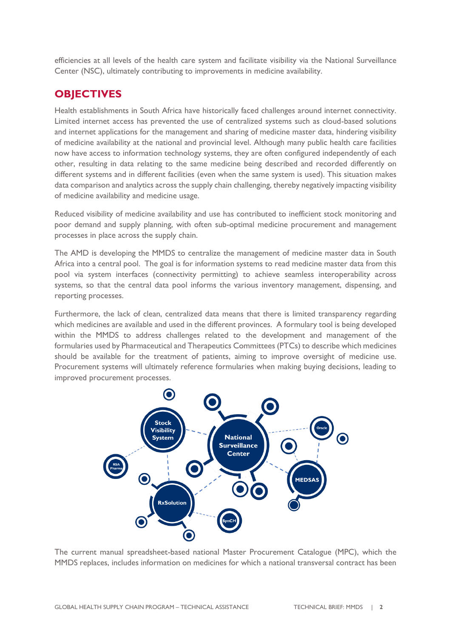efficiencies at all levels of the health care system and facilitate visibility via the National Surveillance Center (NSC), ultimately contributing to improvements in medicine availability.

#### **OBJECTIVES**

Health establishments in South Africa have historically faced challenges around internet connectivity. Limited internet access has prevented the use of centralized systems such as cloud-based solutions and internet applications for the management and sharing of medicine master data, hindering visibility of medicine availability at the national and provincial level. Although many public health care facilities now have access to information technology systems, they are often configured independently of each other, resulting in data relating to the same medicine being described and recorded differently on different systems and in different facilities (even when the same system is used). This situation makes data comparison and analytics across the supply chain challenging, thereby negatively impacting visibility of medicine availability and medicine usage.

Reduced visibility of medicine availability and use has contributed to inefficient stock monitoring and poor demand and supply planning, with often sub-optimal medicine procurement and management processes in place across the supply chain.

The AMD is developing the MMDS to centralize the management of medicine master data in South Africa into a central pool. The goal is for information systems to read medicine master data from this pool via system interfaces (connectivity permitting) to achieve seamless interoperability across systems, so that the central data pool informs the various inventory management, dispensing, and reporting processes.

Furthermore, the lack of clean, centralized data means that there is limited transparency regarding which medicines are available and used in the different provinces. A formulary tool is being developed within the MMDS to address challenges related to the development and management of the formularies used by Pharmaceutical and Therapeutics Committees (PTCs) to describe which medicines should be available for the treatment of patients, aiming to improve oversight of medicine use. Procurement systems will ultimately reference formularies when making buying decisions, leading to improved procurement processes.



The current manual spreadsheet-based national Master Procurement Catalogue (MPC), which the MMDS replaces, includes information on medicines for which a national transversal contract has been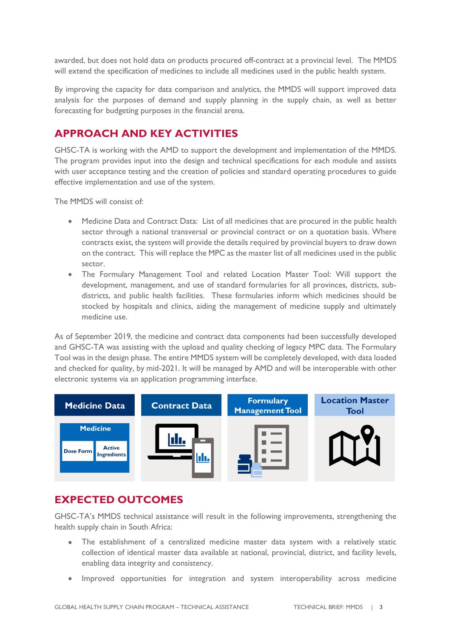awarded, but does not hold data on products procured off-contract at a provincial level. The MMDS will extend the specification of medicines to include all medicines used in the public health system.

By improving the capacity for data comparison and analytics, the MMDS will support improved data analysis for the purposes of demand and supply planning in the supply chain, as well as better forecasting for budgeting purposes in the financial arena.

# **APPROACH AND KEY ACTIVITIES**

GHSC-TA is working with the AMD to support the development and implementation of the MMDS. The program provides input into the design and technical specifications for each module and assists with user acceptance testing and the creation of policies and standard operating procedures to guide effective implementation and use of the system.

The MMDS will consist of:

- Medicine Data and Contract Data: List of all medicines that are procured in the public health sector through a national transversal or provincial contract or on a quotation basis. Where contracts exist, the system will provide the details required by provincial buyers to draw down on the contract. This will replace the MPC as the master list of all medicines used in the public sector.
- The Formulary Management Tool and related Location Master Tool: Will support the development, management, and use of standard formularies for all provinces, districts, subdistricts, and public health facilities. These formularies inform which medicines should be stocked by hospitals and clinics, aiding the management of medicine supply and ultimately medicine use.

As of September 2019, the medicine and contract data components had been successfully developed and GHSC-TA was assisting with the upload and quality checking of legacy MPC data. The Formulary Tool was in the design phase. The entire MMDS system will be completely developed, with data loaded and checked for quality, by mid-2021. It will be managed by AMD and will be interoperable with other electronic systems via an application programming interface.



## **EXPECTED OUTCOMES**

GHSC-TA's MMDS technical assistance will result in the following improvements, strengthening the health supply chain in South Africa:

- The establishment of a centralized medicine master data system with a relatively static collection of identical master data available at national, provincial, district, and facility levels, enabling data integrity and consistency.
- Improved opportunities for integration and system interoperability across medicine